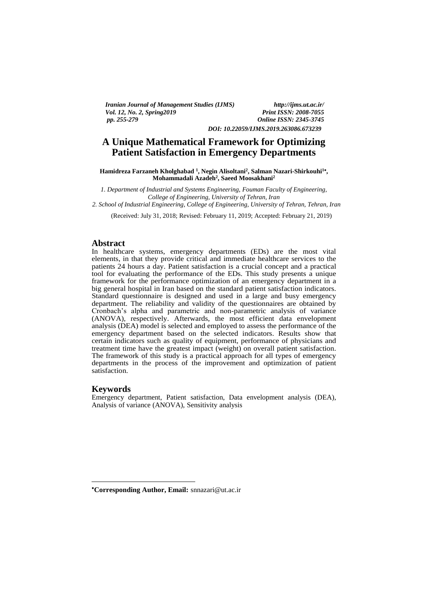*Iranian Journal of Management Studies (IJMS) http://ijms.ut.ac.ir/ Vol. 12, No. 2, Spring 2019*<br>*pp. 255-279* 

*pp. 255-279 Online ISSN: 2345-3745 DOI: 10.22059/IJMS.2019.263086.673239*

# **A Unique Mathematical Framework for Optimizing Patient Satisfaction in Emergency Departments**

Hamidreza Farzaneh Kholghabad <sup>1</sup>, Negin Alisoltani<sup>2</sup>, Salman Nazari-Shirkouhi<sup>1</sup>\*, **Mohammadali Azadeh<sup>2</sup> , Saeed Moosakhani<sup>2</sup>**

*1. Department of Industrial and Systems Engineering, Fouman Faculty of Engineering, College of Engineering, University of Tehran, Iran*

*2. School of Industrial Engineering, College of Engineering, University of Tehran, Tehran, Iran*

(Received: July 31, 2018; Revised: February 11, 2019; Accepted: February 21, 2019)

#### **Abstract**

In healthcare systems, emergency departments (EDs) are the most vital elements, in that they provide critical and immediate healthcare services to the patients 24 hours a day. Patient satisfaction is a crucial concept and a practical tool for evaluating the performance of the EDs. This study presents a unique framework for the performance optimization of an emergency department in a big general hospital in Iran based on the standard patient satisfaction indicators. Standard questionnaire is designed and used in a large and busy emergency department. The reliability and validity of the questionnaires are obtained by Cronbach's alpha and parametric and non-parametric analysis of variance (ANOVA), respectively. Afterwards, the most efficient data envelopment analysis (DEA) model is selected and employed to assess the performance of the emergency department based on the selected indicators. Results show that certain indicators such as quality of equipment, performance of physicians and treatment time have the greatest impact (weight) on overall patient satisfaction. The framework of this study is a practical approach for all types of emergency departments in the process of the improvement and optimization of patient satisfaction.

## **Keywords**

<u>.</u>

Emergency department, Patient satisfaction, Data envelopment analysis (DEA), Analysis of variance (ANOVA), Sensitivity analysis

**Corresponding Author, Email:** snnazari@ut.ac.ir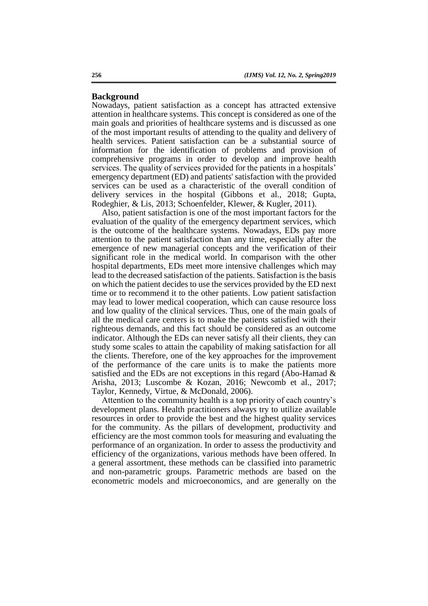# **Background**

Nowadays, patient satisfaction as a concept has attracted extensive attention in healthcare systems. This concept is considered as one of the main goals and priorities of healthcare systems and is discussed as one of the most important results of attending to the quality and delivery of health services. Patient satisfaction can be a substantial source of information for the identification of problems and provision of comprehensive programs in order to develop and improve health services. The quality of services provided for the patients in a hospitals' emergency department (ED) and patients' satisfaction with the provided services can be used as a characteristic of the overall condition of delivery services in the hospital (Gibbons et al., 2018; Gupta, Rodeghier, & Lis, 2013; Schoenfelder, Klewer, & Kugler, 2011).

Also, patient satisfaction is one of the most important factors for the evaluation of the quality of the emergency department services, which is the outcome of the healthcare systems. Nowadays, EDs pay more attention to the patient satisfaction than any time, especially after the emergence of new managerial concepts and the verification of their significant role in the medical world. In comparison with the other hospital departments, EDs meet more intensive challenges which may lead to the decreased satisfaction of the patients. Satisfaction is the basis on which the patient decides to use the services provided by the ED next time or to recommend it to the other patients. Low patient satisfaction may lead to lower medical cooperation, which can cause resource loss and low quality of the clinical services. Thus, one of the main goals of all the medical care centers is to make the patients satisfied with their righteous demands, and this fact should be considered as an outcome indicator. Although the EDs can never satisfy all their clients, they can study some scales to attain the capability of making satisfaction for all the clients. Therefore, one of the key approaches for the improvement of the performance of the care units is to make the patients more satisfied and the EDs are not exceptions in this regard (Abo-Hamad & Arisha, 2013; Luscombe & Kozan, 2016; Newcomb et al., 2017; Taylor, Kennedy, Virtue, & McDonald, 2006).

Attention to the community health is a top priority of each country's development plans. Health practitioners always try to utilize available resources in order to provide the best and the highest quality services for the community. As the pillars of development, productivity and efficiency are the most common tools for measuring and evaluating the performance of an organization. In order to assess the productivity and efficiency of the organizations, various methods have been offered. In a general assortment, these methods can be classified into parametric and non-parametric groups. Parametric methods are based on the econometric models and microeconomics, and are generally on the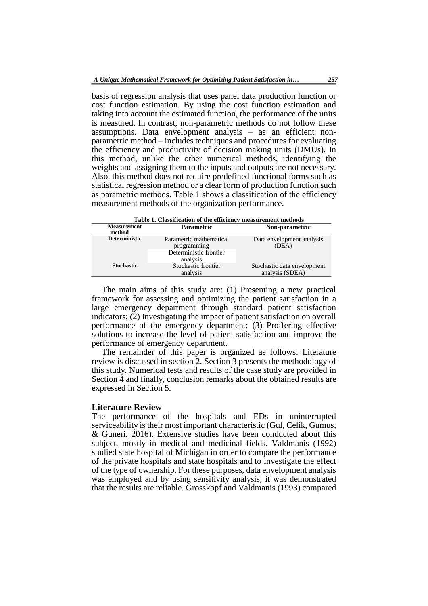basis of regression analysis that uses panel data production function or cost function estimation. By using the cost function estimation and taking into account the estimated function, the performance of the units is measured. In contrast, non-parametric methods do not follow these assumptions. Data envelopment analysis – as an efficient nonparametric method – includes techniques and procedures for evaluating the efficiency and productivity of decision making units (DMUs). In this method, unlike the other numerical methods, identifying the weights and assigning them to the inputs and outputs are not necessary. Also, this method does not require predefined functional forms such as statistical regression method or a clear form of production function such as parametric methods. Table 1 shows a classification of the efficiency measurement methods of the organization performance.

| Table 1. Classification of the efficiency measurement methods |                                                                              |                                                |  |  |  |  |  |
|---------------------------------------------------------------|------------------------------------------------------------------------------|------------------------------------------------|--|--|--|--|--|
| <b>Measurement</b><br>method                                  | <b>Parametric</b>                                                            | Non-parametric                                 |  |  |  |  |  |
| <b>Deterministic</b>                                          | Parametric mathematical<br>programming<br>Deterministic frontier<br>analysis | Data envelopment analysis<br>(DEA)             |  |  |  |  |  |
| <b>Stochastic</b>                                             | Stochastic frontier<br>analysis                                              | Stochastic data envelopment<br>analysis (SDEA) |  |  |  |  |  |

The main aims of this study are: (1) Presenting a new practical framework for assessing and optimizing the patient satisfaction in a large emergency department through standard patient satisfaction indicators; (2) Investigating the impact of patient satisfaction on overall performance of the emergency department; (3) Proffering effective solutions to increase the level of patient satisfaction and improve the performance of emergency department.

The remainder of this paper is organized as follows. Literature review is discussed in section 2. Section 3 presents the methodology of this study. Numerical tests and results of the case study are provided in Section 4 and finally, conclusion remarks about the obtained results are expressed in Section 5.

## **Literature Review**

The performance of the hospitals and EDs in uninterrupted serviceability is their most important characteristic (Gul, Celik, Gumus, & Guneri, 2016). Extensive studies have been conducted about this subject, mostly in medical and medicinal fields. Valdmanis (1992) studied state hospital of Michigan in order to compare the performance of the private hospitals and state hospitals and to investigate the effect of the type of ownership. For these purposes, data envelopment analysis was employed and by using sensitivity analysis, it was demonstrated that the results are reliable. Grosskopf and Valdmanis (1993) compared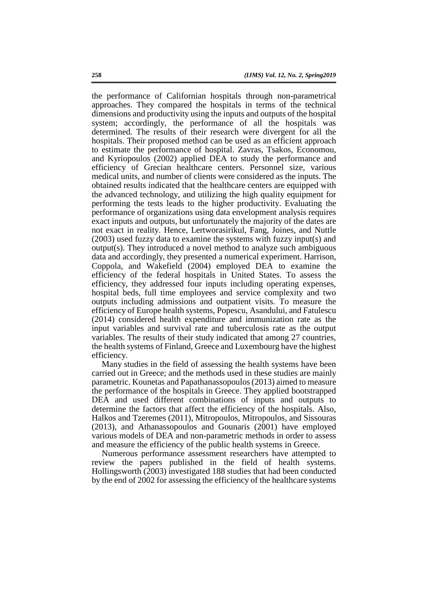the performance of Californian hospitals through non-parametrical approaches. They compared the hospitals in terms of the technical dimensions and productivity using the inputs and outputs of the hospital system; accordingly, the performance of all the hospitals was determined. The results of their research were divergent for all the hospitals. Their proposed method can be used as an efficient approach to estimate the performance of hospital. Zavras, Tsakos, Economou, and Kyriopoulos (2002) applied DEA to study the performance and efficiency of Grecian healthcare centers. Personnel size, various medical units, and number of clients were considered as the inputs. The obtained results indicated that the healthcare centers are equipped with the advanced technology, and utilizing the high quality equipment for performing the tests leads to the higher productivity. Evaluating the performance of organizations using data envelopment analysis requires exact inputs and outputs, but unfortunately the majority of the dates are not exact in reality. Hence, Lertworasirikul, Fang, Joines, and Nuttle (2003) used fuzzy data to examine the systems with fuzzy input(s) and output(s). They introduced a novel method to analyze such ambiguous data and accordingly, they presented a numerical experiment. Harrison, Coppola, and Wakefield (2004) employed DEA to examine the efficiency of the federal hospitals in United States. To assess the efficiency, they addressed four inputs including operating expenses, hospital beds, full time employees and service complexity and two outputs including admissions and outpatient visits. To measure the efficiency of Europe health systems, Popescu, Asandului, and Fatulescu (2014) considered health expenditure and immunization rate as the input variables and survival rate and tuberculosis rate as the output variables. The results of their study indicated that among 27 countries, the health systems of Finland, Greece and Luxembourg have the highest efficiency.

Many studies in the field of assessing the health systems have been carried out in Greece; and the methods used in these studies are mainly parametric. Kounetas and Papathanassopoulos (2013) aimed to measure the performance of the hospitals in Greece. They applied bootstrapped DEA and used different combinations of inputs and outputs to determine the factors that affect the efficiency of the hospitals. Also, Halkos and Tzeremes (2011), Mitropoulos, Mitropoulos, and Sissouras (2013), and Athanassopoulos and Gounaris (2001) have employed various models of DEA and non-parametric methods in order to assess and measure the efficiency of the public health systems in Greece.

Numerous performance assessment researchers have attempted to review the papers published in the field of health systems. Hollingsworth (2003) investigated 188 studies that had been conducted by the end of 2002 for assessing the efficiency of the healthcare systems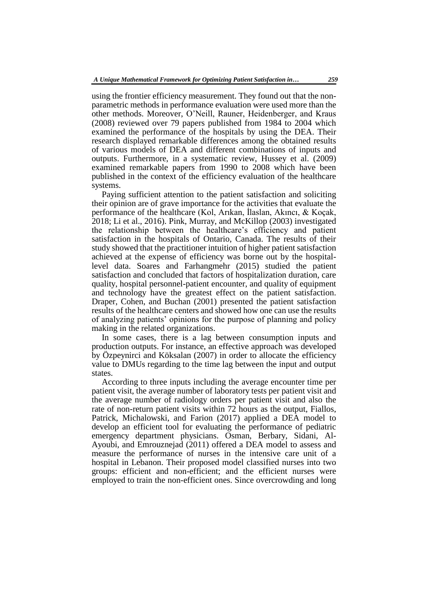using the frontier efficiency measurement. They found out that the nonparametric methods in performance evaluation were used more than the other methods. Moreover, O'Neill, Rauner, Heidenberger, and Kraus (2008) reviewed over 79 papers published from 1984 to 2004 which examined the performance of the hospitals by using the DEA. Their research displayed remarkable differences among the obtained results of various models of DEA and different combinations of inputs and outputs. Furthermore, in a systematic review, Hussey et al. (2009) examined remarkable papers from 1990 to 2008 which have been published in the context of the efficiency evaluation of the healthcare systems.

Paying sufficient attention to the patient satisfaction and soliciting their opinion are of grave importance for the activities that evaluate the performance of the healthcare (Kol, Arıkan, İlaslan, Akıncı, & Koçak, 2018; Li et al., 2016). Pink, Murray, and McKillop (2003) investigated the relationship between the healthcare's efficiency and patient satisfaction in the hospitals of Ontario, Canada. The results of their study showed that the practitioner intuition of higher patient satisfaction achieved at the expense of efficiency was borne out by the hospitallevel data. Soares and Farhangmehr (2015) studied the patient satisfaction and concluded that factors of hospitalization duration, care quality, hospital personnel-patient encounter, and quality of equipment and technology have the greatest effect on the patient satisfaction. Draper, Cohen, and Buchan (2001) presented the patient satisfaction results of the healthcare centers and showed how one can use the results of analyzing patients' opinions for the purpose of planning and policy making in the related organizations.

In some cases, there is a lag between consumption inputs and production outputs. For instance, an effective approach was developed by Özpeynirci and Köksalan (2007) in order to allocate the efficiency value to DMUs regarding to the time lag between the input and output states.

According to three inputs including the average encounter time per patient visit, the average number of laboratory tests per patient visit and the average number of radiology orders per patient visit and also the rate of non-return patient visits within 72 hours as the output, Fiallos, Patrick, Michalowski, and Farion (2017) applied a DEA model to develop an efficient tool for evaluating the performance of pediatric emergency department physicians. Osman, Berbary, Sidani, Al-Ayoubi, and Emrouznejad (2011) offered a DEA model to assess and measure the performance of nurses in the intensive care unit of a hospital in Lebanon. Their proposed model classified nurses into two groups: efficient and non-efficient; and the efficient nurses were employed to train the non-efficient ones. Since overcrowding and long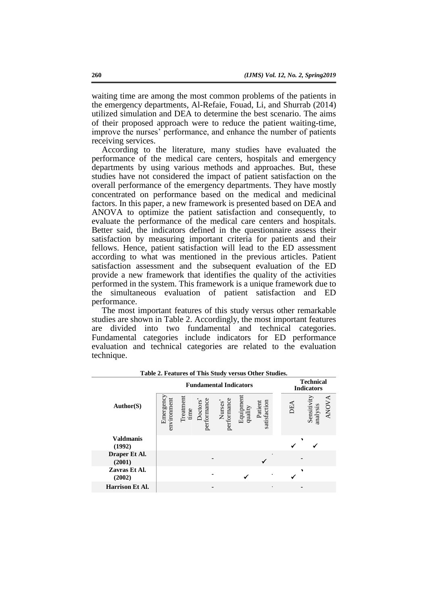waiting time are among the most common problems of the patients in the emergency departments, Al-Refaie, Fouad, Li, and Shurrab (2014) utilized simulation and DEA to determine the best scenario. The aims of their proposed approach were to reduce the patient waiting-time, improve the nurses' performance, and enhance the number of patients receiving services.

According to the literature, many studies have evaluated the performance of the medical care centers, hospitals and emergency departments by using various methods and approaches. But, these studies have not considered the impact of patient satisfaction on the overall performance of the emergency departments. They have mostly concentrated on performance based on the medical and medicinal factors. In this paper, a new framework is presented based on DEA and ANOVA to optimize the patient satisfaction and consequently, to evaluate the performance of the medical care centers and hospitals. Better said, the indicators defined in the questionnaire assess their satisfaction by measuring important criteria for patients and their fellows. Hence, patient satisfaction will lead to the ED assessment according to what was mentioned in the previous articles. Patient satisfaction assessment and the subsequent evaluation of the ED provide a new framework that identifies the quality of the activities performed in the system. This framework is a unique framework due to the simultaneous evaluation of patient satisfaction and ED performance.

The most important features of this study versus other remarkable studies are shown in Table 2. Accordingly, the most important features are divided into two fundamental and technical categories. Fundamental categories include indicators for ED performance evaluation and technical categories are related to the evaluation technique.

| <b>Fundamental Indicators</b> |                          |                   |                         |                        |                      |                         | <b>Technical</b><br><b>Indicators</b> |                                        |  |
|-------------------------------|--------------------------|-------------------|-------------------------|------------------------|----------------------|-------------------------|---------------------------------------|----------------------------------------|--|
| Author(S)                     | Emergency<br>environment | Treatment<br>time | Doctors'<br>performance | performance<br>Nurses' | Equipment<br>quality | satisfaction<br>Patient | DEA                                   | <b>ANOVA</b><br>Sensitivit<br>analysis |  |
| <b>Valdmanis</b><br>(1992)    |                          |                   |                         |                        |                      |                         |                                       |                                        |  |
| Draper Et Al.<br>(2001)       |                          |                   |                         |                        |                      |                         |                                       |                                        |  |
| Zavras Et Al.<br>(2002)       |                          |                   |                         |                        |                      |                         |                                       |                                        |  |
| <b>Harrison Et Al.</b>        |                          |                   |                         |                        |                      |                         |                                       |                                        |  |

**Table 2. Features of This Study versus Other Studies.**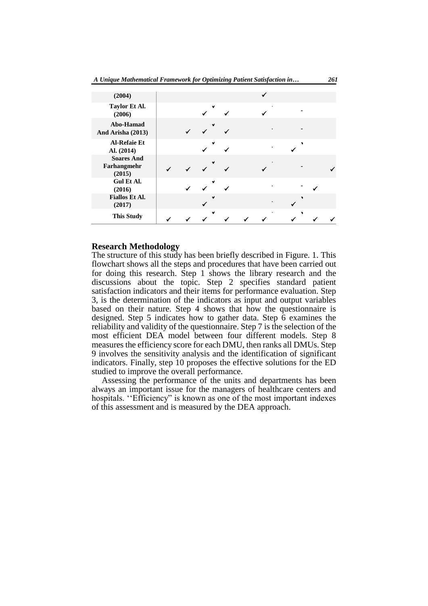| (2004)                                     |  |   |  |    |   |  |
|--------------------------------------------|--|---|--|----|---|--|
| Taylor Et Al.<br>(2006)                    |  |   |  |    |   |  |
| Abo-Hamad<br>And Arisha (2013)             |  |   |  |    |   |  |
| <b>Al-Refaie Et</b><br>Al. (2014)          |  |   |  |    |   |  |
| <b>Soares And</b><br>Farhangmehr<br>(2015) |  |   |  |    |   |  |
| Gul Et Al.<br>(2016)                       |  |   |  |    |   |  |
| <b>Fiallos Et Al.</b><br>(2017)            |  |   |  | ×. |   |  |
| <b>This Study</b>                          |  | v |  |    | ٠ |  |

#### **Research Methodology**

The structure of this study has been briefly described in Figure. 1. This flowchart shows all the steps and procedures that have been carried out for doing this research. Step 1 shows the library research and the discussions about the topic. Step 2 specifies standard patient satisfaction indicators and their items for performance evaluation. Step 3, is the determination of the indicators as input and output variables based on their nature. Step 4 shows that how the questionnaire is designed. Step 5 indicates how to gather data. Step 6 examines the reliability and validity of the questionnaire. Step 7 is the selection of the most efficient DEA model between four different models. Step 8 measures the efficiency score for each DMU, then ranks all DMUs. Step 9 involves the sensitivity analysis and the identification of significant indicators. Finally, step 10 proposes the effective solutions for the ED studied to improve the overall performance.

Assessing the performance of the units and departments has been always an important issue for the managers of healthcare centers and hospitals. "Efficiency" is known as one of the most important indexes of this assessment and is measured by the DEA approach.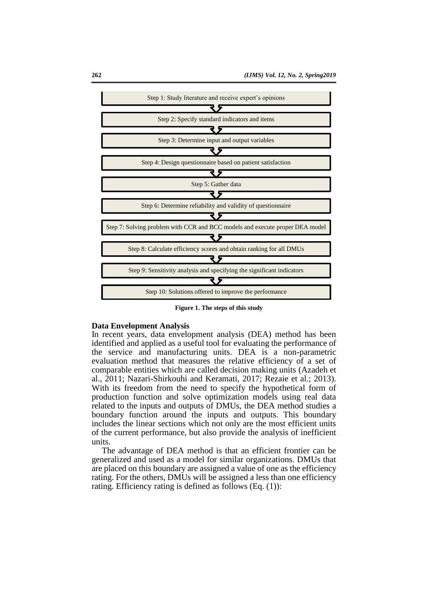

**Figure 1. The steps of this study**

## **Data Envelopment Analysis**

In recent years, data envelopment analysis (DEA) method has been identified and applied as a useful tool for evaluating the performance of the service and manufacturing units. DEA is a non-parametric evaluation method that measures the relative efficiency of a set of comparable entities which are called decision making units (Azadeh et al., 2011; Nazari-Shirkouhi and Keramati, 2017; Rezaie et al.; 2013). With its freedom from the need to specify the hypothetical form of production function and solve optimization models using real data related to the inputs and outputs of DMUs, the DEA method studies a boundary function around the inputs and outputs. This boundary includes the linear sections which not only are the most efficient units of the current performance, but also provide the analysis of inefficient units.

The advantage of DEA method is that an efficient frontier can be generalized and used as a model for similar organizations. DMUs that are placed on this boundary are assigned a value of one as the efficiency rating. For the others, DMUs will be assigned a less than one efficiency rating. Efficiency rating is defined as follows (Eq. (1)):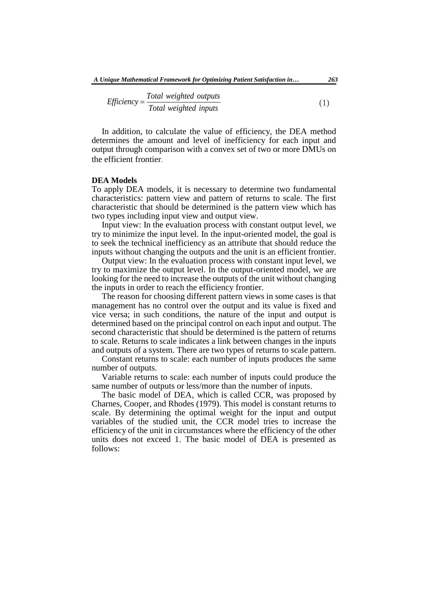$$
Efficiency = \frac{Total weighted \ outputs}{Total \ weighted \ inputs}
$$
\n(1)

In addition, to calculate the value of efficiency, the DEA method determines the amount and level of inefficiency for each input and output through comparison with a convex set of two or more DMUs on the efficient frontier.

# **DEA Models**

To apply DEA models, it is necessary to determine two fundamental characteristics: pattern view and pattern of returns to scale. The first characteristic that should be determined is the pattern view which has two types including input view and output view.

Input view: In the evaluation process with constant output level, we try to minimize the input level. In the input-oriented model, the goal is to seek the technical inefficiency as an attribute that should reduce the inputs without changing the outputs and the unit is an efficient frontier.

Output view: In the evaluation process with constant input level, we try to maximize the output level. In the output-oriented model, we are looking for the need to increase the outputs of the unit without changing the inputs in order to reach the efficiency frontier.

The reason for choosing different pattern views in some cases is that management has no control over the output and its value is fixed and vice versa; in such conditions, the nature of the input and output is determined based on the principal control on each input and output. The second characteristic that should be determined is the pattern of returns to scale. Returns to scale indicates a link between changes in the inputs and outputs of a system. There are two types of returns to scale pattern.

Constant returns to scale: each number of inputs produces the same number of outputs.

Variable returns to scale: each number of inputs could produce the same number of outputs or less/more than the number of inputs.

The basic model of DEA, which is called CCR, was proposed by Charnes, Cooper, and Rhodes (1979). This model is constant returns to scale. By determining the optimal weight for the input and output variables of the studied unit, the CCR model tries to increase the efficiency of the unit in circumstances where the efficiency of the other units does not exceed 1. The basic model of DEA is presented as follows: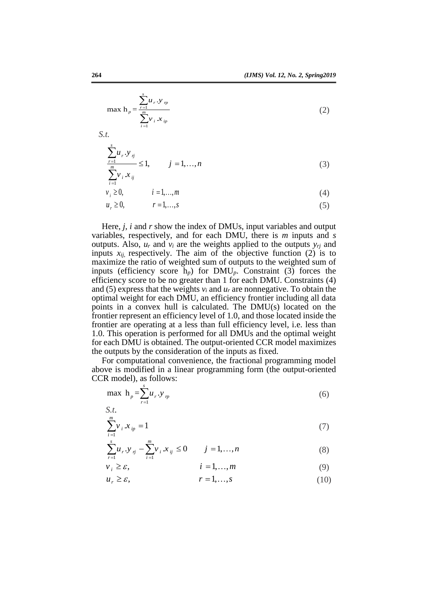$$
\max h_p = \frac{\sum_{r=1}^{s} u_r \cdot y_{rp}}{\sum_{i=1}^{m} v_i \cdot x_{ip}}
$$
 (2)

*S.t.*

$$
\frac{\sum_{r=1}^{s} u_r \cdot y_{rj}}{\sum_{r=1}^{m} v_i x_{rj}} \le 1, \qquad j = 1, ..., n
$$
\n(3)

$$
v_i = 0, \t i = 1,...,m \t (4)
$$

$$
u_r \ge 0, \qquad r = 1, \dots, s \tag{5}
$$

Here, *j*, *i* and *r* show the index of DMUs, input variables and output variables, respectively, and for each DMU, there is *m* inputs and *s* outputs. Also,  $u_r$  and  $v_i$  are the weights applied to the outputs  $y_{rj}$  and inputs  $x_{ij}$ , respectively. The aim of the objective function  $(2)$  is to maximize the ratio of weighted sum of outputs to the weighted sum of inputs (efficiency score h*p*) for DMU*p*. Constraint (3) forces the efficiency score to be no greater than 1 for each DMU. Constraints (4) and (5) express that the weights  $v_i$  and  $u_r$  are nonnegative. To obtain the optimal weight for each DMU, an efficiency frontier including all data points in a convex hull is calculated. The DMU(s) located on the frontier represent an efficiency level of 1.0, and those located inside the frontier are operating at a less than full efficiency level, i.e. less than 1.0. This operation is performed for all DMUs and the optimal weight for each DMU is obtained. The output-oriented CCR model maximizes the outputs by the consideration of the inputs as fixed.

For computational convenience, the fractional programming model above is modified in a linear programming form (the output-oriented CCR model), as follows:

$$
\max h_p = \sum_{r=1}^{s} u_r \cdot y_p \tag{6}
$$

$$
\sum_{i=1}^{m} v_i x_{ip} = 1
$$
 (7)

$$
\sum_{r=1}^{s} u_r \cdot y_{rj} - \sum_{i=1}^{m} v_i \cdot x_{ij} \le 0 \qquad j = 1, ..., n \tag{8}
$$

$$
v_i \ge \varepsilon, \qquad i = 1,...,m \tag{9}
$$

$$
u_r \ge \varepsilon, \qquad \qquad r = 1, \dots, s \tag{10}
$$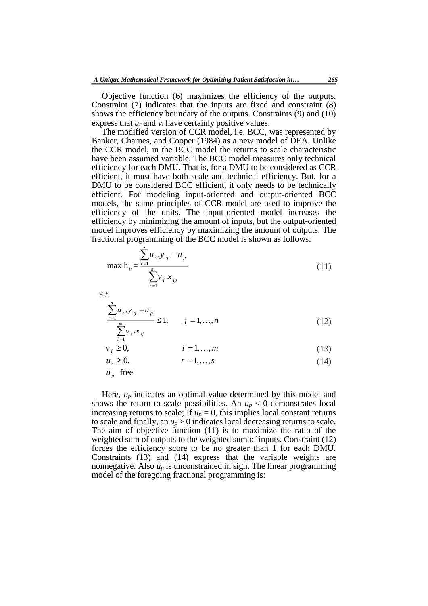Objective function (6) maximizes the efficiency of the outputs. Constraint (7) indicates that the inputs are fixed and constraint (8) shows the efficiency boundary of the outputs. Constraints (9) and (10) express that *u<sup>r</sup>* and *v<sup>i</sup>* have certainly positive values.

The modified version of CCR model, i.e. BCC, was represented by Banker, Charnes, and Cooper (1984) as a new model of DEA. Unlike the CCR model, in the BCC model the returns to scale characteristic have been assumed variable. The BCC model measures only technical efficiency for each DMU. That is, for a DMU to be considered as CCR efficient, it must have both scale and technical efficiency. But, for a DMU to be considered BCC efficient, it only needs to be technically efficient. For modeling input-oriented and output-oriented BCC models, the same principles of CCR model are used to improve the efficiency of the units. The input-oriented model increases the efficiency by minimizing the amount of inputs, but the output-oriented model improves efficiency by maximizing the amount of outputs. The fractional programming of the BCC model is shown as follows:

$$
\max h_p = \frac{\sum_{r=1}^{s} u_r \cdot y_{rp} - u_p}{\sum_{i=1}^{m} v_i \cdot x_{ip}}
$$
(11)

*S.t.*

$$
\frac{\sum_{r=1}^{s} u_r \cdot y_{rj} - u_p}{\sum_{i=1}^{m} v_i \cdot x_{ij}} \le 1, \qquad j = 1, ..., n
$$
\n(12)

$$
v_i \ge 0, \qquad i = 1, \dots, m \tag{13}
$$

$$
u_r \ge 0, \qquad \qquad r = 1, \dots, s \tag{14}
$$

 $u_p$  free

Here, *u<sup>p</sup>* indicates an optimal value determined by this model and shows the return to scale possibilities. An  $u_p < 0$  demonstrates local increasing returns to scale; If  $u_p = 0$ , this implies local constant returns to scale and finally, an  $u_p > 0$  indicates local decreasing returns to scale. The aim of objective function (11) is to maximize the ratio of the weighted sum of outputs to the weighted sum of inputs. Constraint (12) forces the efficiency score to be no greater than 1 for each DMU. Constraints (13) and (14) express that the variable weights are nonnegative. Also  $u_p$  is unconstrained in sign. The linear programming model of the foregoing fractional programming is: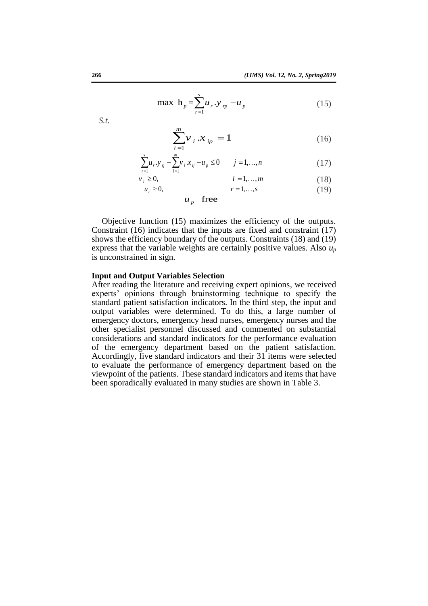$$
\max h_p = \sum_{r=1}^{s} u_r \cdot y_p - u_p \tag{15}
$$

*S.t.*

$$
\sum_{i=1}^{m} v_i \, x_{ip} = 1 \tag{16}
$$

$$
\sum_{i=1}^{s} u_{r} y_{ij} - \sum_{i=1}^{m} v_{i} x_{ij} - u_{p} \le 0 \qquad j = 1,...,n
$$
 (17)

$$
\begin{aligned}\n v_i &\ge 0, & i &= 1, \dots, m \\
 u_r &\ge 0, & r &= 1, \dots, s\n \end{aligned}\n \tag{18}
$$

 $u_p$  free

Objective function (15) maximizes the efficiency of the outputs. Constraint (16) indicates that the inputs are fixed and constraint (17) shows the efficiency boundary of the outputs. Constraints (18) and (19) express that the variable weights are certainly positive values. Also *u<sup>p</sup>* is unconstrained in sign.

#### **Input and Output Variables Selection**

After reading the literature and receiving expert opinions, we received experts' opinions through brainstorming technique to specify the standard patient satisfaction indicators. In the third step, the input and output variables were determined. To do this, a large number of emergency doctors, emergency head nurses, emergency nurses and the other specialist personnel discussed and commented on substantial considerations and standard indicators for the performance evaluation of the emergency department based on the patient satisfaction. Accordingly, five standard indicators and their 31 items were selected to evaluate the performance of emergency department based on the viewpoint of the patients. These standard indicators and items that have been sporadically evaluated in many studies are shown in Table 3.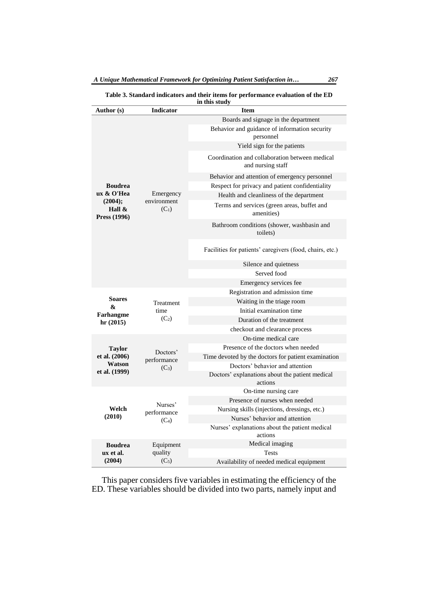**Table 3. Standard indicators and their items for performance evaluation of the ED in this study**

| Author (s)                           | <b>Indicator</b>       | ın uns stuay<br><b>Item</b>                                         |  |  |  |  |
|--------------------------------------|------------------------|---------------------------------------------------------------------|--|--|--|--|
|                                      |                        | Boards and signage in the department                                |  |  |  |  |
|                                      |                        | Behavior and guidance of information security<br>personnel          |  |  |  |  |
|                                      |                        | Yield sign for the patients                                         |  |  |  |  |
|                                      |                        | Coordination and collaboration between medical<br>and nursing staff |  |  |  |  |
|                                      |                        | Behavior and attention of emergency personnel                       |  |  |  |  |
| <b>Boudrea</b>                       |                        | Respect for privacy and patient confidentiality                     |  |  |  |  |
| ux & O'Hea                           | Emergency              | Health and cleanliness of the department                            |  |  |  |  |
| (2004);<br>Hall $\&$<br>Press (1996) | environment<br>$(C_1)$ | Terms and services (green areas, buffet and<br>amenities)           |  |  |  |  |
|                                      |                        | Bathroom conditions (shower, washbasin and<br>toilets)              |  |  |  |  |
|                                      |                        | Facilities for patients' caregivers (food, chairs, etc.)            |  |  |  |  |
|                                      |                        | Silence and quietness                                               |  |  |  |  |
|                                      |                        | Served food                                                         |  |  |  |  |
|                                      |                        | Emergency services fee                                              |  |  |  |  |
|                                      |                        | Registration and admission time                                     |  |  |  |  |
| <b>Soares</b><br>&                   | Treatment              | Waiting in the triage room                                          |  |  |  |  |
| Farhangme                            | time                   | Initial examination time                                            |  |  |  |  |
| hr(2015)                             | $(C_2)$                | Duration of the treatment                                           |  |  |  |  |
|                                      |                        | checkout and clearance process                                      |  |  |  |  |
|                                      |                        | On-time medical care                                                |  |  |  |  |
| <b>Taylor</b>                        | Doctors'               | Presence of the doctors when needed                                 |  |  |  |  |
| et al. (2006)<br>Watson              | performance            | Time devoted by the doctors for patient examination                 |  |  |  |  |
| et al. (1999)                        | $(C_3)$                | Doctors' behavior and attention                                     |  |  |  |  |
|                                      |                        | Doctors' explanations about the patient medical<br>actions          |  |  |  |  |
|                                      |                        | On-time nursing care                                                |  |  |  |  |
|                                      |                        | Presence of nurses when needed                                      |  |  |  |  |
| Welch                                | Nurses'                | Nursing skills (injections, dressings, etc.)                        |  |  |  |  |
| (2010)                               | performance<br>$(C_4)$ | Nurses' behavior and attention                                      |  |  |  |  |
|                                      |                        | Nurses' explanations about the patient medical<br>actions           |  |  |  |  |
| <b>Boudrea</b>                       | Equipment              | Medical imaging                                                     |  |  |  |  |
| ux et al.                            | quality                | <b>Tests</b>                                                        |  |  |  |  |
| (2004)                               | $(C_5)$                | Availability of needed medical equipment                            |  |  |  |  |

This paper considers five variables in estimating the efficiency of the ED. These variables should be divided into two parts, namely input and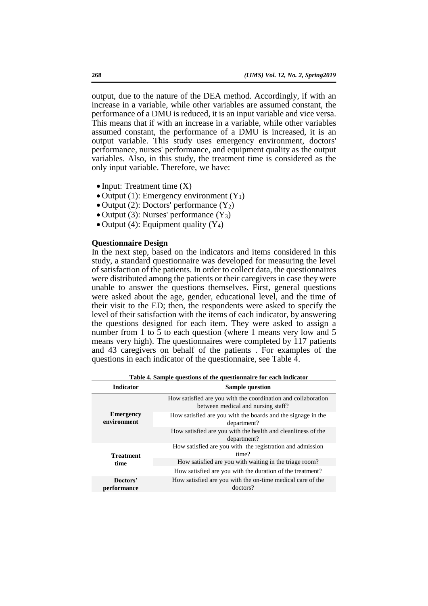output, due to the nature of the DEA method. Accordingly, if with an increase in a variable, while other variables are assumed constant, the performance of a DMU is reduced, it is an input variable and vice versa. This means that if with an increase in a variable, while other variables assumed constant, the performance of a DMU is increased, it is an output variable. This study uses emergency environment, doctors' performance, nurses' performance, and equipment quality as the output variables. Also, in this study, the treatment time is considered as the only input variable. Therefore, we have:

- $\bullet$  Input: Treatment time  $(X)$
- Output (1): Emergency environment  $(Y_1)$
- $\bullet$  Output (2): Doctors' performance (Y<sub>2</sub>)
- $\bullet$  Output (3): Nurses' performance (Y<sub>3</sub>)
- Output (4): Equipment quality  $(Y_4)$

## **Questionnaire Design**

In the next step, based on the indicators and items considered in this study, a standard questionnaire was developed for measuring the level of satisfaction of the patients. In order to collect data, the questionnaires were distributed among the patients or their caregivers in case they were unable to answer the questions themselves. First, general questions were asked about the age, gender, educational level, and the time of their visit to the ED; then, the respondents were asked to specify the level of their satisfaction with the items of each indicator, by answering the questions designed for each item. They were asked to assign a number from 1 to 5 to each question (where 1 means very low and 5 means very high). The questionnaires were completed by 117 patients and 43 caregivers on behalf of the patients . For examples of the questions in each indicator of the questionnaire, see Table 4.

| <b>Indicator</b>                | <b>Sample question</b>                                                                              |  |  |  |  |  |  |
|---------------------------------|-----------------------------------------------------------------------------------------------------|--|--|--|--|--|--|
|                                 | How satisfied are you with the coordination and collaboration<br>between medical and nursing staff? |  |  |  |  |  |  |
| <b>Emergency</b><br>environment | How satisfied are you with the boards and the signage in the<br>department?                         |  |  |  |  |  |  |
|                                 | How satisfied are you with the health and cleanliness of the<br>department?                         |  |  |  |  |  |  |
| <b>Treatment</b>                | How satisfied are you with the registration and admission<br>time?                                  |  |  |  |  |  |  |
| time                            | How satisfied are you with waiting in the triage room?                                              |  |  |  |  |  |  |
|                                 | How satisfied are you with the duration of the treatment?                                           |  |  |  |  |  |  |
| Doctors'<br>performance         | How satisfied are you with the on-time medical care of the<br>doctors?                              |  |  |  |  |  |  |

**Table 4. Sample questions of the questionnaire for each indicator**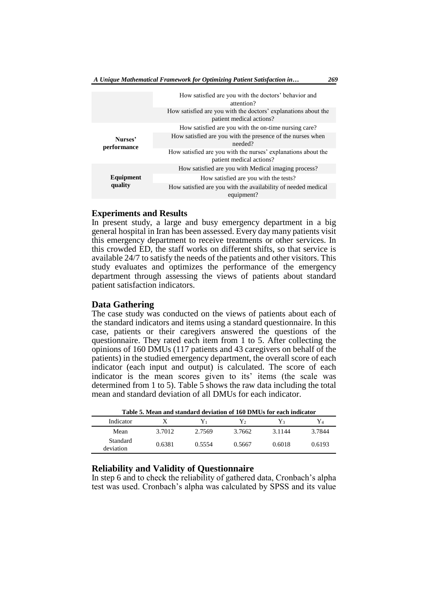|                        | How satisfied are you with the doctors' behavior and<br>attention?                         |
|------------------------|--------------------------------------------------------------------------------------------|
|                        | How satisfied are you with the doctors' explanations about the<br>patient medical actions? |
|                        | How satisfied are you with the on-time nursing care?                                       |
| Nurses'<br>performance | How satisfied are you with the presence of the nurses when<br>needed?                      |
|                        | How satisfied are you with the nurses' explanations about the<br>patient medical actions?  |
|                        | How satisfied are you with Medical imaging process?                                        |
| Equipment              | How satisfied are you with the tests?                                                      |
| quality                | How satisfied are you with the availability of needed medical<br>equipment?                |

#### **Experiments and Results**

In present study, a large and busy emergency department in a big general hospital in Iran has been assessed. Every day many patients visit this emergency department to receive treatments or other services. In this crowded ED, the staff works on different shifts, so that service is available 24/7 to satisfy the needs of the patients and other visitors. This study evaluates and optimizes the performance of the emergency department through assessing the views of patients about standard patient satisfaction indicators.

# **Data Gathering**

The case study was conducted on the views of patients about each of the standard indicators and items using a standard questionnaire. In this case, patients or their caregivers answered the questions of the questionnaire. They rated each item from 1 to 5. After collecting the opinions of 160 DMUs (117 patients and 43 caregivers on behalf of the patients) in the studied emergency department, the overall score of each indicator (each input and output) is calculated. The score of each indicator is the mean scores given to its' items (the scale was determined from 1 to 5). Table 5 shows the raw data including the total mean and standard deviation of all DMUs for each indicator.

| Table 5. Mean and standard deviation of 160 DMUs for each indicator |        |        |        |                |        |  |  |  |  |  |
|---------------------------------------------------------------------|--------|--------|--------|----------------|--------|--|--|--|--|--|
| Indicator                                                           | X      | Y1     | Y٥     | Y <sup>2</sup> | Y4     |  |  |  |  |  |
| Mean                                                                | 3.7012 | 2.7569 | 3.7662 | 3.1144         | 3.7844 |  |  |  |  |  |
| Standard<br>deviation                                               | 0.6381 | 0.5554 | 0.5667 | 0.6018         | 0.6193 |  |  |  |  |  |

# **Reliability and Validity of Questionnaire**

In step 6 and to check the reliability of gathered data, Cronbach's alpha test was used. Cronbach's alpha was calculated by SPSS and its value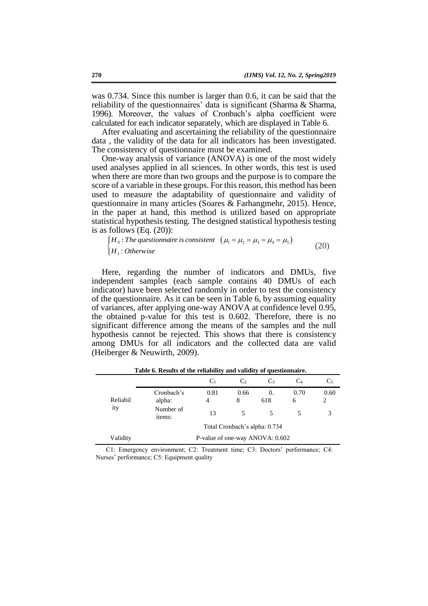was 0.734. Since this number is larger than 0.6, it can be said that the reliability of the questionnaires' data is significant (Sharma & Sharma, 1996). Moreover, the values of Cronbach's alpha coefficient were calculated for each indicator separately, which are displayed in Table 6.

After evaluating and ascertaining the reliability of the questionnaire data , the validity of the data for all indicators has been investigated. The consistency of questionnaire must be examined.

One-way analysis of variance (ANOVA) is one of the most widely used analyses applied in all sciences. In other words, this test is used when there are more than two groups and the purpose is to compare the score of a variable in these groups. For this reason, this method has been used to measure the adaptability of questionnaire and validity of questionnaire in many articles (Soares & Farhangmehr, 2015). Hence, in the paper at hand, this method is utilized based on appropriate statistical hypothesis testing. The designed statistical hypothesis testing is as follows (Eq. (20)):

$$
\begin{cases}\nH_0: The questionnaire is consistent \quad (\mu_1 = \mu_2 = \mu_3 = \mu_4 = \mu_5) \\
H_1: Otherwise\n\end{cases}
$$
\n(20)

Here, regarding the number of indicators and DMUs, five independent samples (each sample contains 40 DMUs of each indicator) have been selected randomly in order to test the consistency of the questionnaire. As it can be seen in Table 6, by assuming equality of variances, after applying one-way ANOVA at confidence level 0.95, the obtained p-value for this test is 0.602. Therefore, there is no significant difference among the means of the samples and the null hypothesis cannot be rejected. This shows that there is consistency among DMUs for all indicators and the collected data are valid (Heiberger & Neuwirth, 2009).

|          |                                 | C <sub>1</sub> | C <sub>2</sub> | $\mathbb{C}^3$                | C4        | $C_5$     |  |  |
|----------|---------------------------------|----------------|----------------|-------------------------------|-----------|-----------|--|--|
| Reliabil | Cronbach's<br>alpha:            | 0.81<br>4      | 0.66<br>8      | $\Omega$ .<br>618             | 0.70<br>6 | 0.60<br>2 |  |  |
| ity      | Number of<br>items:             | 13             |                |                               |           |           |  |  |
|          |                                 |                |                | Total Cronbach's alpha: 0.734 |           |           |  |  |
| Validity | P-value of one-way ANOVA: 0.602 |                |                |                               |           |           |  |  |

 **Table 6. Results of the reliability and validity of questionnaire.**

C1: Emergency environment; C2: Treatment time; C3: Doctors' performance; C4: Nurses' performance; C5: Equipment quality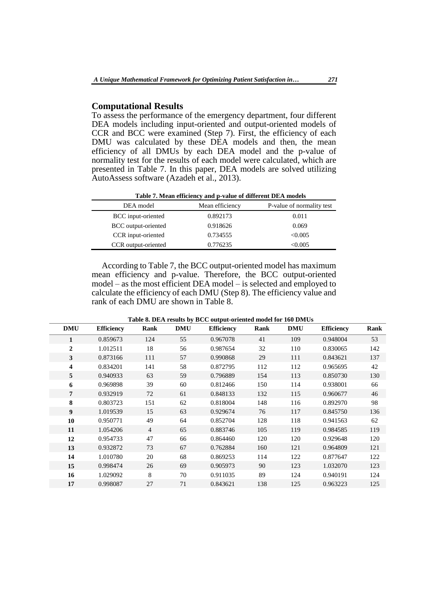## **Computational Results**

To assess the performance of the emergency department, four different DEA models including input-oriented and output-oriented models of CCR and BCC were examined (Step 7). First, the efficiency of each DMU was calculated by these DEA models and then, the mean efficiency of all DMUs by each DEA model and the p-value of normality test for the results of each model were calculated, which are presented in Table 7. In this paper, DEA models are solved utilizing AutoAssess software (Azadeh et al., 2013).

**Table 7. Mean efficiency and p-value of different DEA models**

| DEA model           | Mean efficiency | P-value of normality test |
|---------------------|-----------------|---------------------------|
| BCC input-oriented  | 0.892173        | 0.011                     |
| BCC output-oriented | 0.918626        | 0.069                     |
| CCR input-oriented  | 0.734555        | < 0.005                   |
| CCR output-oriented | 0.776235        | <0.005                    |

According to Table 7, the BCC output-oriented model has maximum mean efficiency and p-value. Therefore, the BCC output-oriented model – as the most efficient DEA model – is selected and employed to calculate the efficiency of each DMU (Step 8). The efficiency value and rank of each DMU are shown in Table 8.

| <b>DMU</b>     | <b>Efficiency</b> | Rank           | <b>DMU</b> | <b>Efficiency</b> | Rank | <b>DMU</b> | <b>Efficiency</b> | Rank |
|----------------|-------------------|----------------|------------|-------------------|------|------------|-------------------|------|
| 1              | 0.859673          | 124            | 55         | 0.967078          | 41   | 109        | 0.948004          | 53   |
| $\mathbf{2}$   | 1.012511          | 18             | 56         | 0.987654          | 32   | 110        | 0.830065          | 142  |
| 3              | 0.873166          | 111            | 57         | 0.990868          | 29   | 111        | 0.843621          | 137  |
| 4              | 0.834201          | 141            | 58         | 0.872795          | 112  | 112        | 0.965695          | 42   |
| 5              | 0.940933          | 63             | 59         | 0.796889          | 154  | 113        | 0.850730          | 130  |
| 6              | 0.969898          | 39             | 60         | 0.812466          | 150  | 114        | 0.938001          | 66   |
| $\overline{7}$ | 0.932919          | 72             | 61         | 0.848133          | 132  | 115        | 0.960677          | 46   |
| 8              | 0.803723          | 151            | 62         | 0.818004          | 148  | 116        | 0.892970          | 98   |
| 9              | 1.019539          | 15             | 63         | 0.929674          | 76   | 117        | 0.845750          | 136  |
| 10             | 0.950771          | 49             | 64         | 0.852704          | 128  | 118        | 0.941563          | 62   |
| 11             | 1.054206          | $\overline{4}$ | 65         | 0.883746          | 105  | 119        | 0.984585          | 119  |
| 12             | 0.954733          | 47             | 66         | 0.864460          | 120  | 120        | 0.929648          | 120  |
| 13             | 0.932872          | 73             | 67         | 0.762884          | 160  | 121        | 0.964809          | 121  |
| 14             | 1.010780          | 20             | 68         | 0.869253          | 114  | 122        | 0.877647          | 122  |
| 15             | 0.998474          | 26             | 69         | 0.905973          | 90   | 123        | 1.032070          | 123  |
| 16             | 1.029092          | 8              | 70         | 0.911035          | 89   | 124        | 0.940191          | 124  |
| 17             | 0.998087          | 27             | 71         | 0.843621          | 138  | 125        | 0.963223          | 125  |

 **Table 8. DEA results by BCC output-oriented model for 160 DMUs**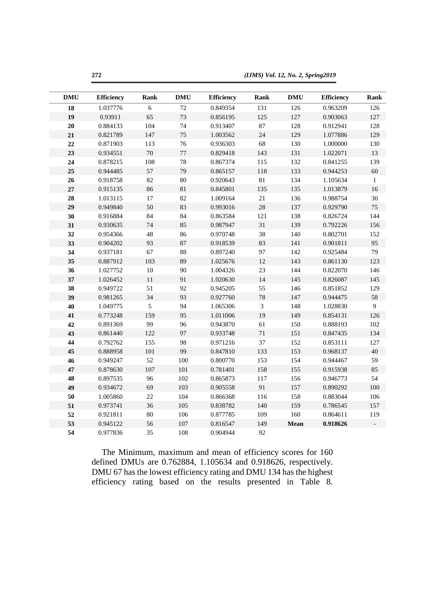*(IJMS) Vol. 12, No. 2, Spring2019* 

| <b>DMU</b> | <b>Efficiency</b> | <b>Rank</b> | $\mathbf{DMU}$ | <b>Efficiency</b> | <b>Rank</b>    | <b>DMU</b> | <b>Efficiency</b> | Rank         |
|------------|-------------------|-------------|----------------|-------------------|----------------|------------|-------------------|--------------|
| 18         | 1.037776          | 6           | $72\,$         | 0.849354          | 131            | 126        | 0.963209          | 126          |
| 19         | 0.93911           | 65          | 73             | 0.856195          | 125            | 127        | 0.903063          | 127          |
| 20         | 0.884133          | 104         | 74             | 0.913407          | 87             | 128        | 0.912941          | 128          |
| 21         | 0.821789          | 147         | 75             | 1.003562          | 24             | 129        | 1.077886          | 129          |
| 22         | 0.871903          | 113         | 76             | 0.936303          | 68             | 130        | 1.000000          | 130          |
| 23         | 0.934551          | 70          | 77             | 0.829418          | 143            | 131        | 1.022071          | 13           |
| 24         | 0.878215          | 108         | $78\,$         | 0.867374          | 115            | 132        | 0.841255          | 139          |
| 25         | 0.944485          | 57          | 79             | 0.865157          | 118            | 133        | 0.944253          | 60           |
| 26         | 0.918758          | 82          | $80\,$         | 0.920643          | 81             | 134        | 1.105634          | $\mathbf{1}$ |
| 27         | 0.915135          | 86          | 81             | 0.845801          | 135            | 135        | 1.013879          | 16           |
| 28         | 1.013115          | 17          | 82             | 1.009164          | 21             | 136        | 0.988754          | 30           |
| 29         | 0.949840          | 50          | 83             | 0.993016          | 28             | 137        | 0.929790          | 75           |
| 30         | 0.916884          | 84          | 84             | 0.863584          | 121            | 138        | 0.826724          | 144          |
| 31         | 0.930635          | 74          | 85             | 0.987947          | 31             | 139        | 0.792226          | 156          |
| 32         | 0.954366          | 48          | 86             | 0.970748          | 38             | 140        | 0.802701          | 152          |
| 33         | 0.904202          | 93          | 87             | 0.918539          | 83             | 141        | 0.901811          | 95           |
| 34         | 0.937181          | 67          | 88             | 0.897240          | 97             | 142        | 0.925484          | 79           |
| 35         | 0.887912          | 103         | 89             | 1.025676          | 12             | 143        | 0.861130          | 123          |
| 36         | 1.027752          | $10\,$      | 90             | 1.004326          | 23             | 144        | 0.822070          | 146          |
| 37         | 1.026452          | 11          | 91             | 1.020630          | 14             | 145        | 0.826087          | 145          |
| 38         | 0.949722          | 51          | 92             | 0.945205          | 55             | 146        | 0.851852          | 129          |
| 39         | 0.981265          | 34          | 93             | 0.927760          | 78             | 147        | 0.944475          | 58           |
| 40         | 1.049775          | 5           | 94             | 1.065306          | $\overline{3}$ | 148        | 1.028830          | 9            |
| 41         | 0.773248          | 159         | 95             | 1.011006          | 19             | 149        | 0.854131          | 126          |
| 42         | 0.891369          | 99          | 96             | 0.943870          | 61             | 150        | 0.888193          | 102          |
| 43         | 0.861440          | 122         | 97             | 0.933748          | 71             | 151        | 0.847435          | 134          |
| 44         | 0.792762          | 155         | 98             | 0.971216          | 37             | 152        | 0.853111          | 127          |
| 45         | 0.888958          | 101         | 99             | 0.847810          | 133            | 153        | 0.968137          | 40           |
| 46         | 0.949247          | 52          | 100            | 0.800770          | 153            | 154        | 0.944467          | 59           |
| 47         | 0.878630          | 107         | 101            | 0.781401          | 158            | 155        | 0.915938          | 85           |
| 48         | 0.897535          | 96          | 102            | 0.865873          | 117            | 156        | 0.946773          | 54           |
| 49         | 0.934672          | 69          | 103            | 0.905558          | 91             | 157        | 0.890292          | 100          |
| 50         | 1.005860          | 22          | 104            | 0.866368          | 116            | 158        | 0.883044          | 106          |
| 51         | 0.973741          | 36          | 105            | 0.838782          | 140            | 159        | 0.786545          | 157          |
| 52         | 0.921811          | 80          | 106            | 0.877785          | 109            | 160        | 0.864611          | 119          |
| 53         | 0.945122          | 56          | 107            | 0.816547          | 149            | Mean       | 0.918626          |              |
| 54         | 0.977836          | 35          | 108            | 0.904944          | 92             |            |                   |              |

The Minimum, maximum and mean of efficiency scores for 160 defined DMUs are 0.762884, 1.105634 and 0.918626, respectively. DMU 67 has the lowest efficiency rating and DMU 134 has the highest efficiency rating based on the results presented in Table 8.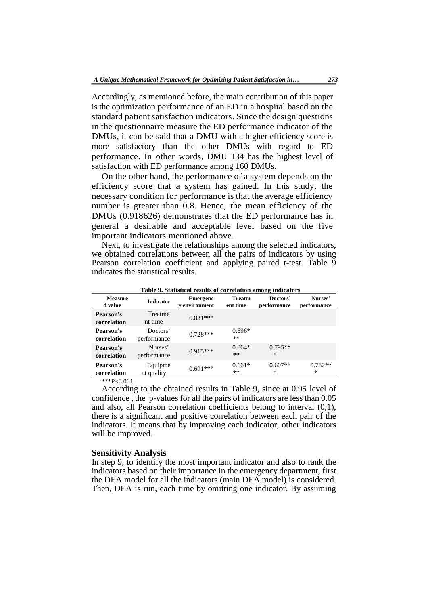Accordingly, as mentioned before, the main contribution of this paper is the optimization performance of an ED in a hospital based on the standard patient satisfaction indicators. Since the design questions in the questionnaire measure the ED performance indicator of the DMUs, it can be said that a DMU with a higher efficiency score is more satisfactory than the other DMUs with regard to ED performance. In other words, DMU 134 has the highest level of satisfaction with ED performance among 160 DMUs.

On the other hand, the performance of a system depends on the efficiency score that a system has gained. In this study, the necessary condition for performance is that the average efficiency number is greater than 0.8. Hence, the mean efficiency of the DMUs (0.918626) demonstrates that the ED performance has in general a desirable and acceptable level based on the five important indicators mentioned above.

Next, to investigate the relationships among the selected indicators, we obtained correlations between all the pairs of indicators by using Pearson correlation coefficient and applying paired t-test. Table 9 indicates the statistical results.

| Table 9. Statistical results of correlation among indicators |                         |                                         |                           |                         |                        |  |  |  |  |  |
|--------------------------------------------------------------|-------------------------|-----------------------------------------|---------------------------|-------------------------|------------------------|--|--|--|--|--|
| <b>Measure</b><br>d value                                    | <b>Indicator</b>        | <b>Emergenc</b><br><b>v</b> environment | <b>Treatm</b><br>ent time | Doctors'<br>performance | Nurses'<br>performance |  |  |  |  |  |
| Pearson's<br>correlation                                     | Treatme<br>nt time      | $0.831***$                              |                           |                         |                        |  |  |  |  |  |
| Pearson's<br>correlation                                     | Doctors'<br>performance | $0.728***$                              | $0.696*$<br>$***$         |                         |                        |  |  |  |  |  |
| Pearson's<br>correlation                                     | Nurses'<br>performance  | $0.915***$                              | $0.864*$<br>$***$         | $0.795**$<br>$\ast$     |                        |  |  |  |  |  |
| Pearson's<br>correlation<br>$1.1.172 \times 2.04$            | Equipme<br>nt quality   | $0.691***$                              | $0.661*$<br>$***$         | $0.607**$<br>$\ast$     | $0.782**$<br>$\ast$    |  |  |  |  |  |

\*\*\*P<0.001

According to the obtained results in Table 9, since at 0.95 level of confidence , the p-values for all the pairs of indicators are less than 0.05 and also, all Pearson correlation coefficients belong to interval (0,1), there is a significant and positive correlation between each pair of the indicators. It means that by improving each indicator, other indicators will be improved.

### **Sensitivity Analysis**

In step 9, to identify the most important indicator and also to rank the indicators based on their importance in the emergency department, first the DEA model for all the indicators (main DEA model) is considered. Then, DEA is run, each time by omitting one indicator. By assuming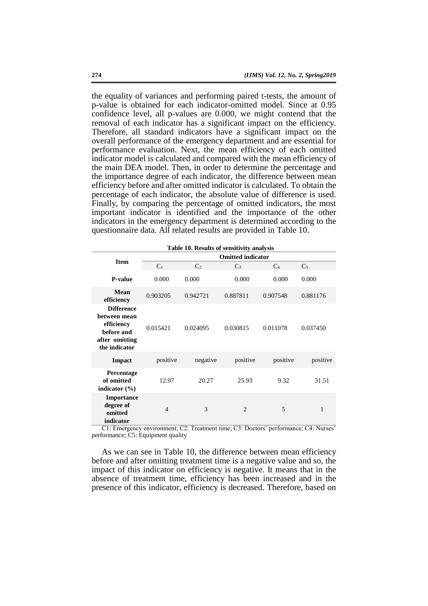the equality of variances and performing paired t-tests, the amount of p-value is obtained for each indicator-omitted model. Since at 0.95 confidence level, all p-values are 0.000, we might contend that the removal of each indicator has a significant impact on the efficiency. Therefore, all standard indicators have a significant impact on the overall performance of the emergency department and are essential for performance evaluation. Next, the mean efficiency of each omitted indicator model is calculated and compared with the mean efficiency of the main DEA model. Then, in order to determine the percentage and the importance degree of each indicator, the difference between mean efficiency before and after omitted indicator is calculated. To obtain the percentage of each indicator, the absolute value of difference is used. Finally, by comparing the percentage of omitted indicators, the most important indicator is identified and the importance of the other indicators in the emergency department is determined according to the questionnaire data. All related results are provided in Table 10.

| Table 10. Results of sensitivity analysis                                                        |                          |                |                |          |                |
|--------------------------------------------------------------------------------------------------|--------------------------|----------------|----------------|----------|----------------|
| <b>Item</b>                                                                                      | <b>Omitted indicator</b> |                |                |          |                |
|                                                                                                  | C <sub>1</sub>           | C <sub>2</sub> | $C_3$          | $C_4$    | C <sub>5</sub> |
| <b>P-value</b>                                                                                   | 0.000                    | 0.000          | 0.000          | 0.000    | 0.000          |
| Mean<br>efficiency                                                                               | 0.903205                 | 0.942721       | 0.887811       | 0.907548 | 0.881176       |
| <b>Difference</b><br>between mean<br>efficiency<br>before and<br>after omitting<br>the indicator | 0.015421                 | 0.024095       | 0.030815       | 0.011078 | 0.037450       |
| <b>Impact</b>                                                                                    | positive                 | negative       | positive       | positive | positive       |
| Percentage<br>of omitted<br>indicator $(\% )$                                                    | 12.97                    | 20.27          | 25.93          | 9.32     | 31.51          |
| <b>Importance</b><br>degree of<br>omitted<br>indicator                                           | $\overline{4}$           | 3              | $\overline{2}$ | 5        | 1              |

C1: Emergency environment; C2: Treatment time; C3: Doctors' performance; C4: Nurses' performance; C5: Equipment quality

As we can see in Table 10, the difference between mean efficiency before and after omitting treatment time is a negative value and so, the impact of this indicator on efficiency is negative. It means that in the absence of treatment time, efficiency has been increased and in the presence of this indicator, efficiency is decreased. Therefore, based on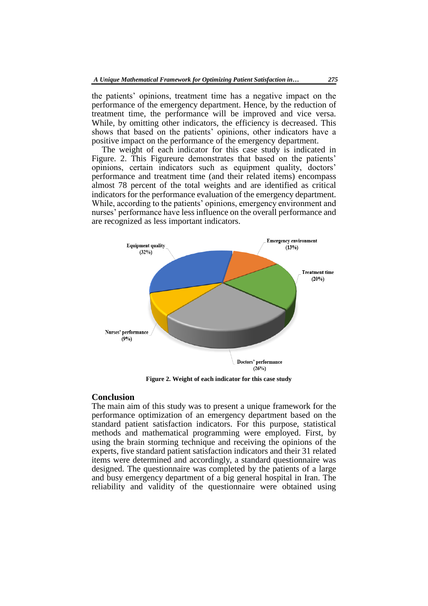the patients' opinions, treatment time has a negative impact on the performance of the emergency department. Hence, by the reduction of treatment time, the performance will be improved and vice versa. While, by omitting other indicators, the efficiency is decreased. This shows that based on the patients' opinions, other indicators have a positive impact on the performance of the emergency department.

The weight of each indicator for this case study is indicated in Figure. 2. This Figureure demonstrates that based on the patients' opinions, certain indicators such as equipment quality, doctors' performance and treatment time (and their related items) encompass almost 78 percent of the total weights and are identified as critical indicators for the performance evaluation of the emergency department. While, according to the patients' opinions, emergency environment and nurses' performance have less influence on the overall performance and are recognized as less important indicators.



**Figure 2. Weight of each indicator for this case study**

## **Conclusion**

The main aim of this study was to present a unique framework for the performance optimization of an emergency department based on the standard patient satisfaction indicators. For this purpose, statistical methods and mathematical programming were employed. First, by using the brain storming technique and receiving the opinions of the experts, five standard patient satisfaction indicators and their 31 related items were determined and accordingly, a standard questionnaire was designed. The questionnaire was completed by the patients of a large and busy emergency department of a big general hospital in Iran. The reliability and validity of the questionnaire were obtained using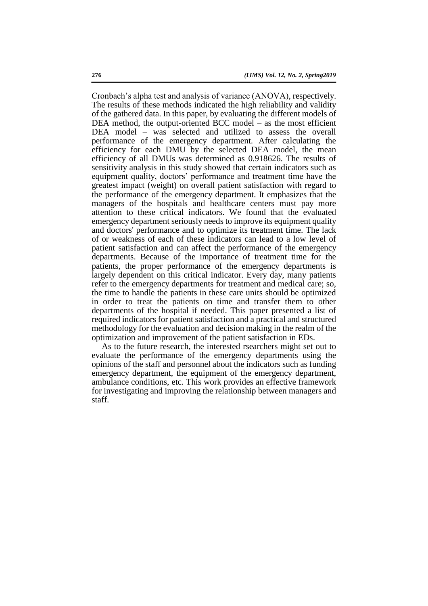Cronbach's alpha test and analysis of variance (ANOVA), respectively. The results of these methods indicated the high reliability and validity of the gathered data. In this paper, by evaluating the different models of DEA method, the output-oriented BCC model – as the most efficient DEA model – was selected and utilized to assess the overall performance of the emergency department. After calculating the efficiency for each DMU by the selected DEA model, the mean efficiency of all DMUs was determined as 0.918626. The results of sensitivity analysis in this study showed that certain indicators such as equipment quality, doctors' performance and treatment time have the greatest impact (weight) on overall patient satisfaction with regard to the performance of the emergency department. It emphasizes that the managers of the hospitals and healthcare centers must pay more attention to these critical indicators. We found that the evaluated emergency department seriously needs to improve its equipment quality and doctors' performance and to optimize its treatment time. The lack of or weakness of each of these indicators can lead to a low level of patient satisfaction and can affect the performance of the emergency departments. Because of the importance of treatment time for the patients, the proper performance of the emergency departments is largely dependent on this critical indicator. Every day, many patients refer to the emergency departments for treatment and medical care; so, the time to handle the patients in these care units should be optimized in order to treat the patients on time and transfer them to other departments of the hospital if needed. This paper presented a list of required indicators for patient satisfaction and a practical and structured methodology for the evaluation and decision making in the realm of the optimization and improvement of the patient satisfaction in EDs.

As to the future research, the interested rsearchers might set out to evaluate the performance of the emergency departments using the opinions of the staff and personnel about the indicators such as funding emergency department, the equipment of the emergency department, ambulance conditions, etc. This work provides an effective framework for investigating and improving the relationship between managers and staff.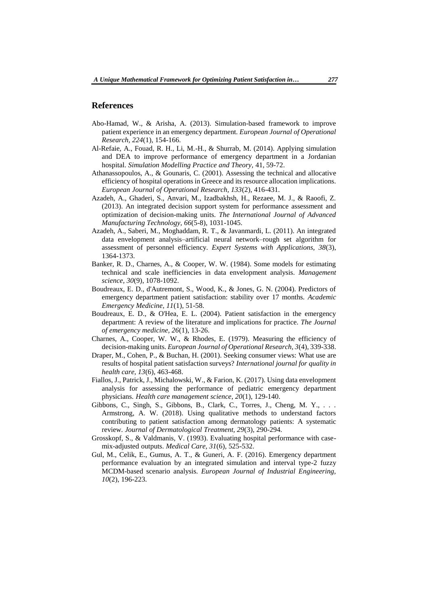## **References**

- Abo-Hamad, W., & Arisha, A. (2013). Simulation-based framework to improve patient experience in an emergency department. *European Journal of Operational Research, 224*(1), 154-166.
- Al-Refaie, A., Fouad, R. H., Li, M.-H., & Shurrab, M. (2014). Applying simulation and DEA to improve performance of emergency department in a Jordanian hospital. *Simulation Modelling Practice and Theory,* 41, 59-72.
- Athanassopoulos, A., & Gounaris, C. (2001). Assessing the technical and allocative efficiency of hospital operations in Greece and its resource allocation implications. *European Journal of Operational Research, 133*(2), 416-431.
- Azadeh, A., Ghaderi, S., Anvari, M., Izadbakhsh, H., Rezaee, M. J., & Raoofi, Z. (2013). An integrated decision support system for performance assessment and optimization of decision-making units. *The International Journal of Advanced Manufacturing Technology, 66*(5-8), 1031-1045.
- Azadeh, A., Saberi, M., Moghaddam, R. T., & Javanmardi, L. (2011). An integrated data envelopment analysis–artificial neural network–rough set algorithm for assessment of personnel efficiency. *Expert Systems with Applications, 38*(3), 1364-1373.
- Banker, R. D., Charnes, A., & Cooper, W. W. (1984). Some models for estimating technical and scale inefficiencies in data envelopment analysis. *Management science, 30*(9), 1078-1092.
- Boudreaux, E. D., d'Autremont, S., Wood, K., & Jones, G. N. (2004). Predictors of emergency department patient satisfaction: stability over 17 months. *Academic Emergency Medicine, 11*(1), 51-58.
- Boudreaux, E. D., & O'Hea, E. L. (2004). Patient satisfaction in the emergency department: A review of the literature and implications for practice. *The Journal of emergency medicine, 26*(1), 13-26.
- Charnes, A., Cooper, W. W., & Rhodes, E. (1979). Measuring the efficiency of decision-making units. *European Journal of Operational Research, 3*(4), 339-338.
- Draper, M., Cohen, P., & Buchan, H. (2001). Seeking consumer views: What use are results of hospital patient satisfaction surveys? *International journal for quality in health care, 13*(6), 463-468.
- Fiallos, J., Patrick, J., Michalowski, W., & Farion, K. (2017). Using data envelopment analysis for assessing the performance of pediatric emergency department physicians. *Health care management science, 20*(1), 129-140.
- Gibbons, C., Singh, S., Gibbons, B., Clark, C., Torres, J., Cheng, M. Y., . . . Armstrong, A. W. (2018). Using qualitative methods to understand factors contributing to patient satisfaction among dermatology patients: A systematic review. *Journal of Dermatological Treatment, 29*(3), 290-294.
- Grosskopf, S., & Valdmanis, V. (1993). Evaluating hospital performance with casemix-adjusted outputs. *Medical Care, 31*(6), 525-532.
- Gul, M., Celik, E., Gumus, A. T., & Guneri, A. F. (2016). Emergency department performance evaluation by an integrated simulation and interval type-2 fuzzy MCDM-based scenario analysis. *European Journal of Industrial Engineering, 10*(2), 196-223.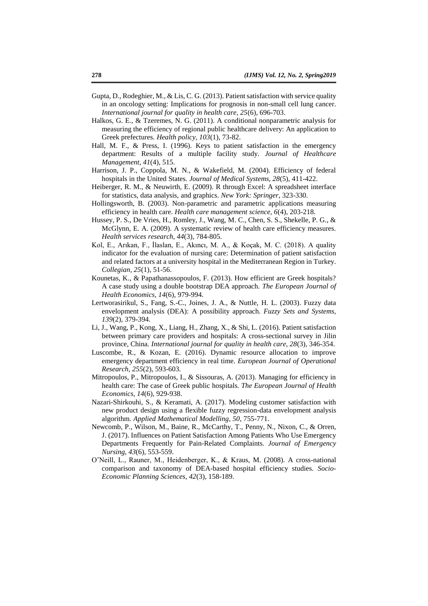- Gupta, D., Rodeghier, M., & Lis, C. G. (2013). Patient satisfaction with service quality in an oncology setting: Implications for prognosis in non-small cell lung cancer. *International journal for quality in health care, 25*(6), 696-703.
- Halkos, G. E., & Tzeremes, N. G. (2011). A conditional nonparametric analysis for measuring the efficiency of regional public healthcare delivery: An application to Greek prefectures. *Health policy, 103*(1), 73-82.
- Hall, M. F., & Press, I. (1996). Keys to patient satisfaction in the emergency department: Results of a multiple facility study. *Journal of Healthcare Management, 41*(4), 515.
- Harrison, J. P., Coppola, M. N., & Wakefield, M. (2004). Efficiency of federal hospitals in the United States. *Journal of Medical Systems, 28*(5), 411-422.
- Heiberger, R. M., & Neuwirth, E. (2009). R through Excel: A spreadsheet interface for statistics, data analysis, and graphics. *New York: Springer*, 323-330.
- Hollingsworth, B. (2003). Non-parametric and parametric applications measuring efficiency in health care. *Health care management science, 6*(4), 203-218.
- Hussey, P. S., De Vries, H., Romley, J., Wang, M. C., Chen, S. S., Shekelle, P. G., & McGlynn, E. A. (2009). A systematic review of health care efficiency measures. *Health services research, 44*(3), 784-805.
- Kol, E., Arıkan, F., İlaslan, E., Akıncı, M. A., & Koçak, M. C. (2018). A quality indicator for the evaluation of nursing care: Determination of patient satisfaction and related factors at a university hospital in the Mediterranean Region in Turkey. *Collegian, 25*(1), 51-56.
- Kounetas, K., & Papathanassopoulos, F. (2013). How efficient are Greek hospitals? A case study using a double bootstrap DEA approach. *The European Journal of Health Economics, 14*(6), 979-994.
- Lertworasirikul, S., Fang, S.-C., Joines, J. A., & Nuttle, H. L. (2003). Fuzzy data envelopment analysis (DEA): A possibility approach. *Fuzzy Sets and Systems, 139*(2), 379-394.
- Li, J., Wang, P., Kong, X., Liang, H., Zhang, X., & Shi, L. (2016). Patient satisfaction between primary care providers and hospitals: A cross-sectional survey in Jilin province, China. *International journal for quality in health care, 28*(3), 346-354.
- Luscombe, R., & Kozan, E. (2016). Dynamic resource allocation to improve emergency department efficiency in real time. *European Journal of Operational Research, 255*(2), 593-603.
- Mitropoulos, P., Mitropoulos, I., & Sissouras, A. (2013). Managing for efficiency in health care: The case of Greek public hospitals. *The European Journal of Health Economics, 14*(6), 929-938.
- Nazari-Shirkouhi, S., & Keramati, A. (2017). Modeling customer satisfaction with new product design using a flexible fuzzy regression-data envelopment analysis algorithm. *Applied Mathematical Modelling*, *50*, 755-771.
- Newcomb, P., Wilson, M., Baine, R., McCarthy, T., Penny, N., Nixon, C., & Orren, J. (2017). Influences on Patient Satisfaction Among Patients Who Use Emergency Departments Frequently for Pain-Related Complaints. *Journal of Emergency Nursing, 43*(6), 553-559.
- O'Neill, L., Rauner, M., Heidenberger, K., & Kraus, M. (2008). A cross-national comparison and taxonomy of DEA-based hospital efficiency studies. *Socio-Economic Planning Sciences, 42*(3), 158-189.